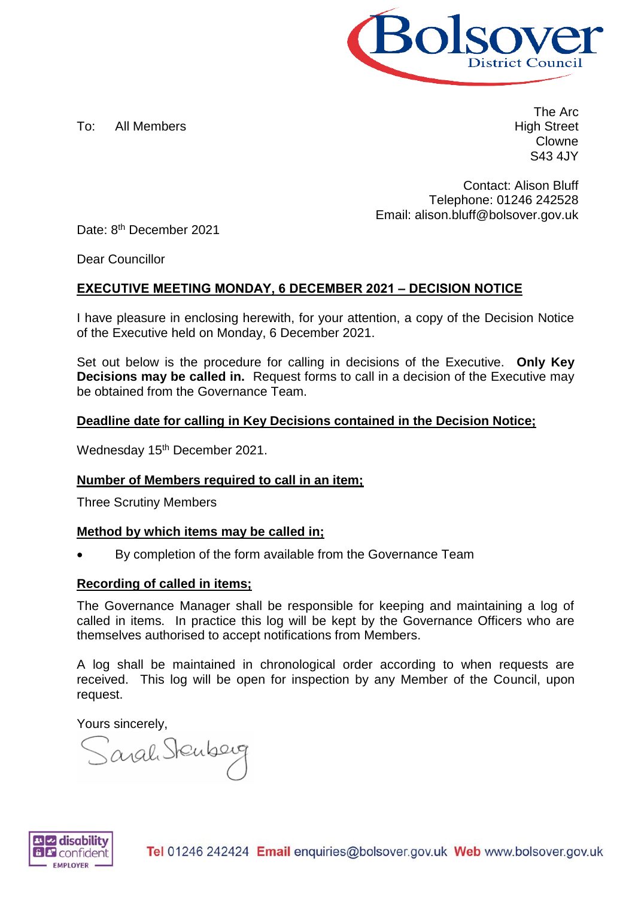

To: All Members

The Arc High Street Clowne S43 4JY

Contact: Alison Bluff Telephone: 01246 242528 Email: alison.bluff@bolsover.gov.uk

Date: 8<sup>th</sup> December 2021

Dear Councillor

### **EXECUTIVE MEETING MONDAY, 6 DECEMBER 2021 – DECISION NOTICE**

I have pleasure in enclosing herewith, for your attention, a copy of the Decision Notice of the Executive held on Monday, 6 December 2021.

Set out below is the procedure for calling in decisions of the Executive. **Only Key Decisions may be called in.** Request forms to call in a decision of the Executive may be obtained from the Governance Team.

#### **Deadline date for calling in Key Decisions contained in the Decision Notice;**

Wednesday 15<sup>th</sup> December 2021.

#### **Number of Members required to call in an item;**

Three Scrutiny Members

#### **Method by which items may be called in;**

By completion of the form available from the Governance Team

#### **Recording of called in items;**

The Governance Manager shall be responsible for keeping and maintaining a log of called in items. In practice this log will be kept by the Governance Officers who are themselves authorised to accept notifications from Members.

A log shall be maintained in chronological order according to when requests are received. This log will be open for inspection by any Member of the Council, upon request.

Yours sincerely,

Sarah Stenberg

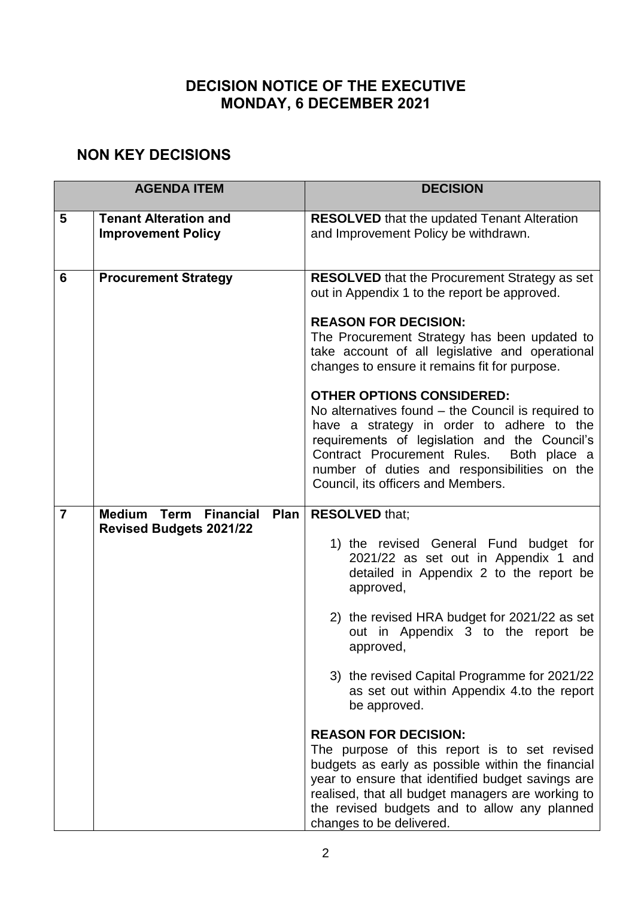# **DECISION NOTICE OF THE EXECUTIVE MONDAY, 6 DECEMBER 2021**

## **NON KEY DECISIONS**

| <b>AGENDA ITEM</b> |                                                           | <b>DECISION</b>                                                                                                                                                                                                                                                                                                             |
|--------------------|-----------------------------------------------------------|-----------------------------------------------------------------------------------------------------------------------------------------------------------------------------------------------------------------------------------------------------------------------------------------------------------------------------|
| 5                  | <b>Tenant Alteration and</b><br><b>Improvement Policy</b> | <b>RESOLVED</b> that the updated Tenant Alteration<br>and Improvement Policy be withdrawn.                                                                                                                                                                                                                                  |
| 6                  | <b>Procurement Strategy</b>                               | <b>RESOLVED</b> that the Procurement Strategy as set<br>out in Appendix 1 to the report be approved.                                                                                                                                                                                                                        |
|                    |                                                           | <b>REASON FOR DECISION:</b><br>The Procurement Strategy has been updated to<br>take account of all legislative and operational<br>changes to ensure it remains fit for purpose.                                                                                                                                             |
|                    |                                                           | <b>OTHER OPTIONS CONSIDERED:</b><br>No alternatives found $-$ the Council is required to<br>have a strategy in order to adhere to the<br>requirements of legislation and the Council's<br>Contract Procurement Rules.<br>Both place a<br>number of duties and responsibilities on the<br>Council, its officers and Members. |
| $\overline{7}$     | <b>Term Financial</b><br><b>Medium</b><br>Plan            | <b>RESOLVED that;</b>                                                                                                                                                                                                                                                                                                       |
|                    | <b>Revised Budgets 2021/22</b>                            | 1) the revised General Fund budget for<br>2021/22 as set out in Appendix 1 and<br>detailed in Appendix 2 to the report be<br>approved,                                                                                                                                                                                      |
|                    |                                                           | 2) the revised HRA budget for 2021/22 as set<br>out in Appendix 3 to the report be<br>approved,                                                                                                                                                                                                                             |
|                    |                                                           | 3) the revised Capital Programme for 2021/22<br>as set out within Appendix 4.to the report<br>be approved.                                                                                                                                                                                                                  |
|                    |                                                           | <b>REASON FOR DECISION:</b><br>The purpose of this report is to set revised<br>budgets as early as possible within the financial<br>year to ensure that identified budget savings are<br>realised, that all budget managers are working to<br>the revised budgets and to allow any planned<br>changes to be delivered.      |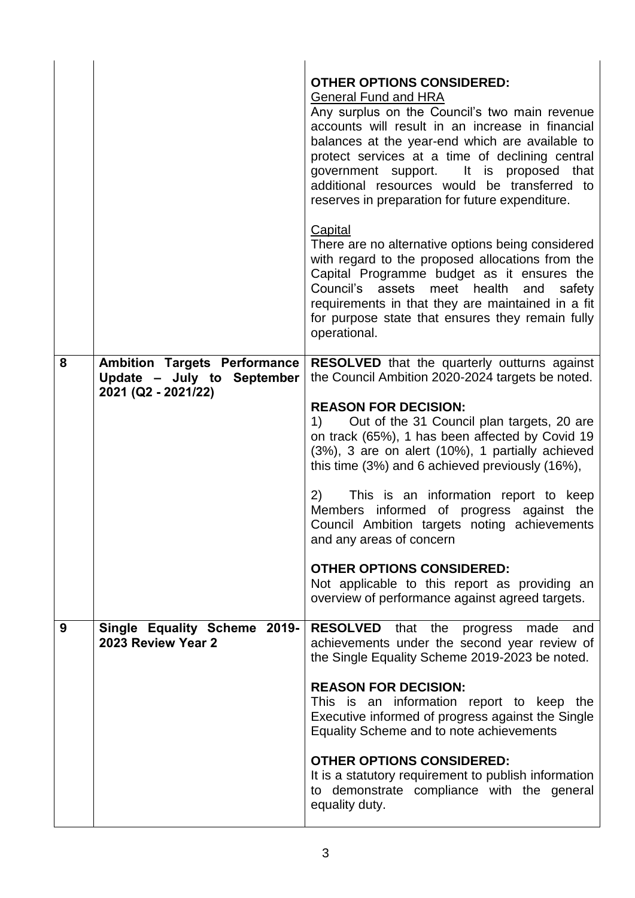|   |                                                                   | <b>OTHER OPTIONS CONSIDERED:</b><br><b>General Fund and HRA</b><br>Any surplus on the Council's two main revenue<br>accounts will result in an increase in financial<br>balances at the year-end which are available to<br>protect services at a time of declining central<br>government support. It is proposed that<br>additional resources would be transferred to<br>reserves in preparation for future expenditure. |
|---|-------------------------------------------------------------------|--------------------------------------------------------------------------------------------------------------------------------------------------------------------------------------------------------------------------------------------------------------------------------------------------------------------------------------------------------------------------------------------------------------------------|
|   |                                                                   | <b>Capital</b><br>There are no alternative options being considered<br>with regard to the proposed allocations from the<br>Capital Programme budget as it ensures the<br>Council's assets meet health and<br>safety<br>requirements in that they are maintained in a fit<br>for purpose state that ensures they remain fully<br>operational.                                                                             |
| 8 | <b>Ambition Targets Performance</b><br>Update - July to September | <b>RESOLVED</b> that the quarterly outturns against<br>the Council Ambition 2020-2024 targets be noted.                                                                                                                                                                                                                                                                                                                  |
|   | 2021 (Q2 - 2021/22)                                               | <b>REASON FOR DECISION:</b><br>1) Out of the 31 Council plan targets, 20 are<br>on track (65%), 1 has been affected by Covid 19<br>(3%), 3 are on alert (10%), 1 partially achieved<br>this time (3%) and 6 achieved previously (16%),                                                                                                                                                                                   |
|   |                                                                   | This is an information report to keep<br>2)<br>Members informed of progress against the<br>Council Ambition targets noting achievements<br>and any areas of concern                                                                                                                                                                                                                                                      |
|   |                                                                   | <b>OTHER OPTIONS CONSIDERED:</b><br>Not applicable to this report as providing an<br>overview of performance against agreed targets.                                                                                                                                                                                                                                                                                     |
| 9 | Single Equality Scheme 2019-<br>2023 Review Year 2                | <b>RESOLVED</b> that the<br>progress made<br>and<br>achievements under the second year review of<br>the Single Equality Scheme 2019-2023 be noted.                                                                                                                                                                                                                                                                       |
|   |                                                                   | <b>REASON FOR DECISION:</b><br>This is an information report to keep the<br>Executive informed of progress against the Single<br>Equality Scheme and to note achievements                                                                                                                                                                                                                                                |
|   |                                                                   | <b>OTHER OPTIONS CONSIDERED:</b><br>It is a statutory requirement to publish information<br>to demonstrate compliance with the general<br>equality duty.                                                                                                                                                                                                                                                                 |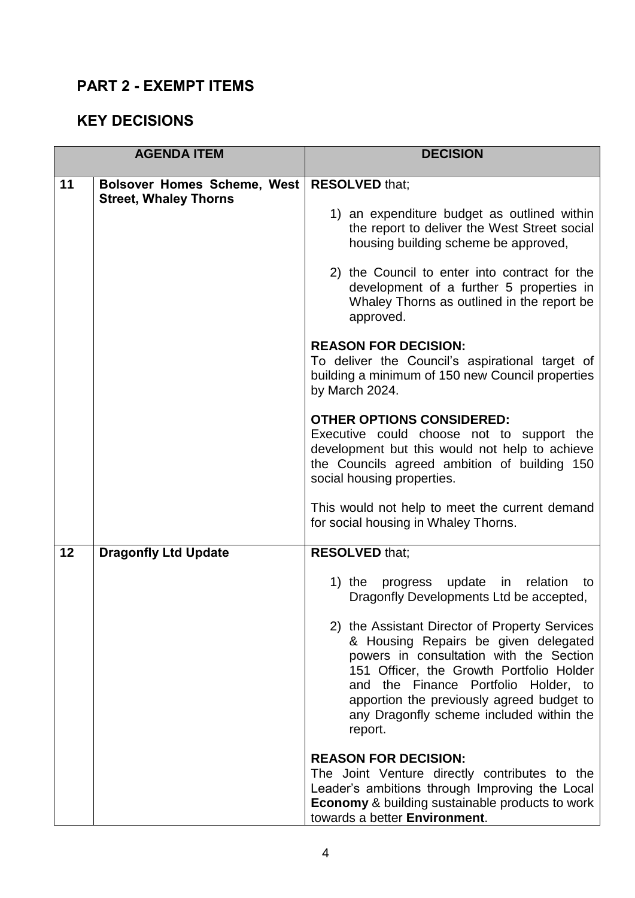## **PART 2 - EXEMPT ITEMS**

### **KEY DECISIONS**

| <b>AGENDA ITEM</b> |                                                                    | <b>DECISION</b>                                                                                                                                                                                                                                                                                                           |
|--------------------|--------------------------------------------------------------------|---------------------------------------------------------------------------------------------------------------------------------------------------------------------------------------------------------------------------------------------------------------------------------------------------------------------------|
| 11                 | <b>Bolsover Homes Scheme, West</b><br><b>Street, Whaley Thorns</b> | <b>RESOLVED that;</b><br>1) an expenditure budget as outlined within<br>the report to deliver the West Street social<br>housing building scheme be approved,                                                                                                                                                              |
|                    |                                                                    | 2) the Council to enter into contract for the<br>development of a further 5 properties in<br>Whaley Thorns as outlined in the report be<br>approved.                                                                                                                                                                      |
|                    |                                                                    | <b>REASON FOR DECISION:</b><br>To deliver the Council's aspirational target of<br>building a minimum of 150 new Council properties<br>by March 2024.                                                                                                                                                                      |
|                    |                                                                    | <b>OTHER OPTIONS CONSIDERED:</b><br>Executive could choose not to support the<br>development but this would not help to achieve<br>the Councils agreed ambition of building 150<br>social housing properties.                                                                                                             |
|                    |                                                                    | This would not help to meet the current demand<br>for social housing in Whaley Thorns.                                                                                                                                                                                                                                    |
| 12                 | <b>Dragonfly Ltd Update</b>                                        | <b>RESOLVED that;</b>                                                                                                                                                                                                                                                                                                     |
|                    |                                                                    | 1) the<br>progress update in relation<br>to<br>Dragonfly Developments Ltd be accepted,                                                                                                                                                                                                                                    |
|                    |                                                                    | 2) the Assistant Director of Property Services<br>& Housing Repairs be given delegated<br>powers in consultation with the Section<br>151 Officer, the Growth Portfolio Holder<br>and the Finance Portfolio Holder, to<br>apportion the previously agreed budget to<br>any Dragonfly scheme included within the<br>report. |
|                    |                                                                    | <b>REASON FOR DECISION:</b><br>The Joint Venture directly contributes to the<br>Leader's ambitions through Improving the Local<br><b>Economy &amp; building sustainable products to work</b><br>towards a better Environment.                                                                                             |